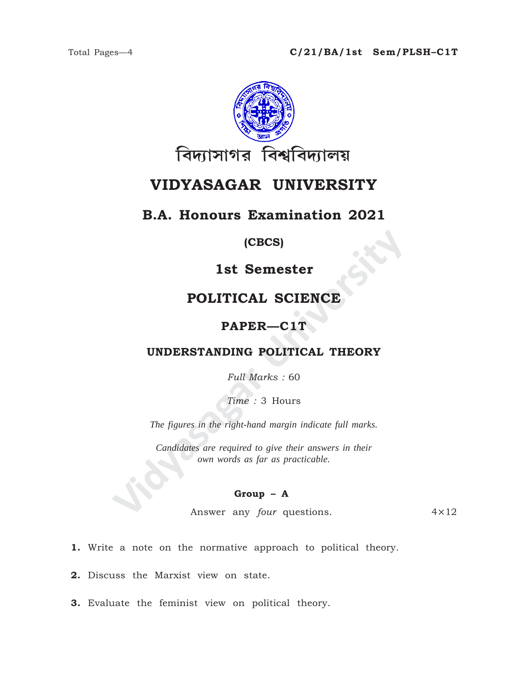

# VIDYASAGAR UNIVERSITY

## **B.A. Honours Examination 2021**

### (CBCS)

## 1st Semester

## POLITICAL SCIENCE

## PAPER-C1T

### UNDERSTANDING POLITICAL THEORY

Full Marks: 60

Time: 3 Hours

The figures in the right-hand margin indicate full marks.

Candidates are required to give their answers in their own words as far as practicable.

### $Group - A$

Answer any *four* questions.  $4 \times 12$ 

1. Write a note on the normative approach to political theory.

2. Discuss the Marxist view on state.

3. Evaluate the feminist view on political theory.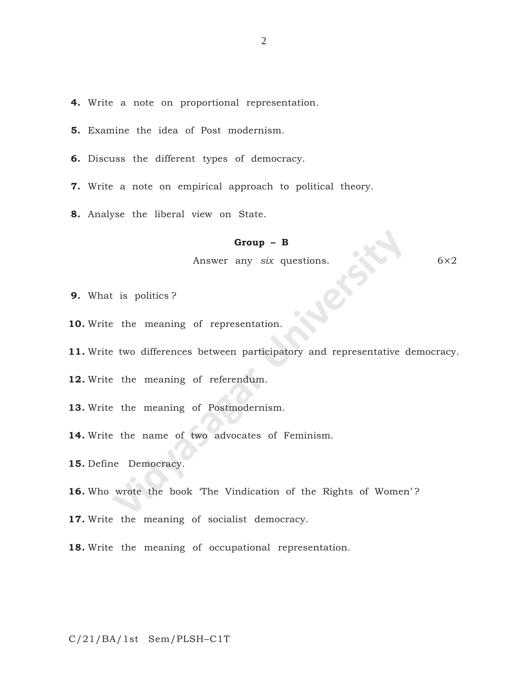- **4.** Write a note on proportional representation.
- **5.** Examine the idea of Post modernism.
- **6.** Discuss the different types of democracy.
- **7.** Write a note on empirical approach to political theory.
- **8.** Analyse the liberal view on State.

#### **Group – B**

Answer any *six* questions. 6×2

- **9.** What is politics ?
- **10.** Write the meaning of representation.
- **Group B**<br>Answer any *six* questions.<br>
<br>
is politics?<br>
<br>
two differences between participatory and representative c<br>
<br>
the meaning of referendum.<br>
<br>
the meaning of Postmodernism.<br>
<br>
the name of two advocates of Feminism. **11.** Write two differences between participatory and representative democracy.
- **12.** Write the meaning of referendum.
- **13.** Write the meaning of Postmodernism.
- **14.** Write the name of two advocates of Feminism.
- **15.** Define Democracy.
- 16. Who wrote the book 'The Vindication of the Rights of Women'?
- **17.** Write the meaning of socialist democracy.
- **18.** Write the meaning of occupational representation.

C/21/BA/1st Sem/PLSH–C1T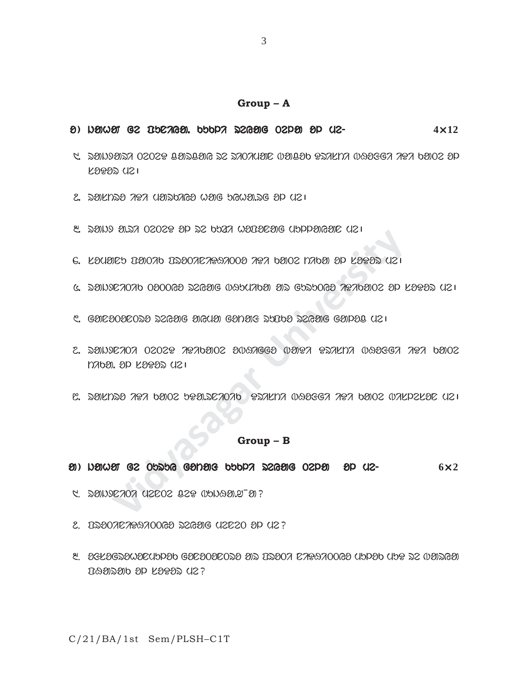#### **Group – A**

- o ) jahaN ge puniya. kukli reyag Tela ol me- eyag Tela ol me-**4**×**12**
- $1.5$  and car rested and  $\alpha$  and  $\alpha$  and  $\alpha$  in the same of  $\alpha$  in the old of  $\alpha$  $K3932$   $K21$
- $2.$  2012 and  $2.2$  and  $2.2$  and  $2.2$  and  $2.1$
- $8.$  2010 0.27 02029 OP 22 0027 0000000 (UDPONGOIC (121
- $6.$  Lauarb Banda BS2002 202002 2021 band also also the kaTas uz
- $\alpha$ . donjekovao obooro dziotie idiklado ob Guduoro zezador op Logod Uzi
- $C$ . Gancaoacosa szgang anguan ganang surba szgang ganaa uzi
- **Vidyay Choca Chompage Chompage Chompage Chompage Chompage Chompage Chompage Chompage Chompage Chompage Chompage Chompage Chompage Chompage Chompage Chompage Chompage Chompage Chompage Chompage Chompage Chompage Chompage C**  $2.$  denderog o $2029$   $20000$   $200000$   $200000$   $200000$   $20000$   $20000$   $20000$ tika. ol soDor me|
- $\mathbb{C}$ . døknde  $\mathcal{A}$ ea bøioz beøideado etakna wobega apa bøioz wakpzk $\mathcal{B}$ e kli

#### **Group – B**

- a ) hama ge opspe ganais pppe escag oeda ap ue- exagin reval ox 2
- 1. rajxniTi menTe CeD bujHa.w¯a?
- $2.$   $D3007C79970068$   $D500$   $D12$   $D20$   $D42$   $P3007C79970068$   $D500$
- 3. dekdepawacuppab eacaoacopa aid ibaoa carraooca uppab upp de waideai  $R$ an sod  $R$ aras  $U2$ ?

C/21/BA/1st Sem/PLSH–C1T